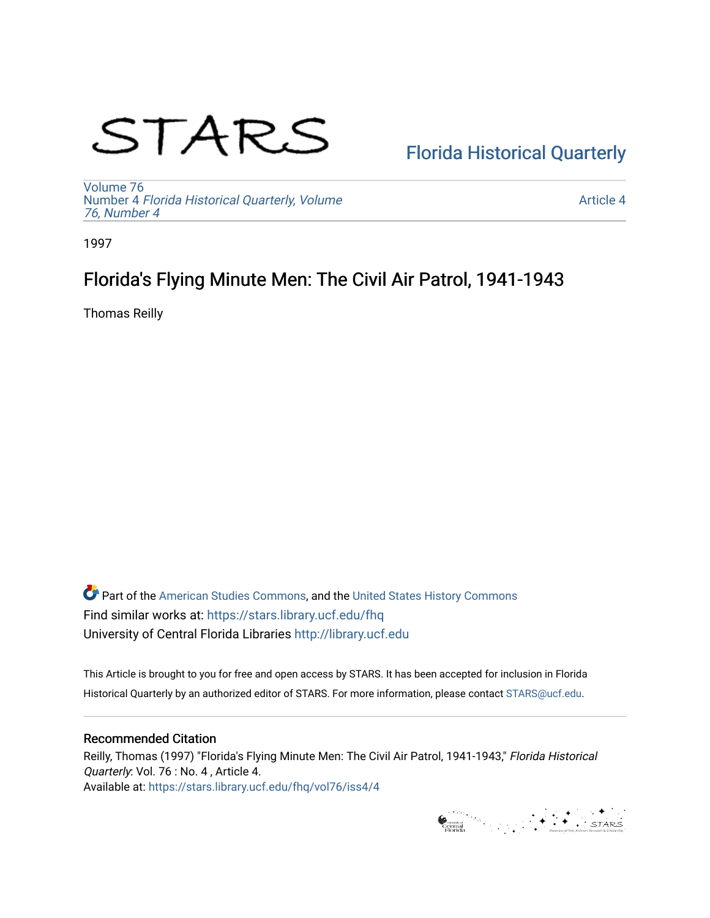# STARS

# [Florida Historical Quarterly](https://stars.library.ucf.edu/fhq)

[Volume 76](https://stars.library.ucf.edu/fhq/vol76) Number 4 [Florida Historical Quarterly, Volume](https://stars.library.ucf.edu/fhq/vol76/iss4)  [76, Number 4](https://stars.library.ucf.edu/fhq/vol76/iss4)

[Article 4](https://stars.library.ucf.edu/fhq/vol76/iss4/4) 

1997

# Florida's Flying Minute Men: The Civil Air Patrol, 1941-1943

Thomas Reilly

**C** Part of the [American Studies Commons](http://network.bepress.com/hgg/discipline/439?utm_source=stars.library.ucf.edu%2Ffhq%2Fvol76%2Fiss4%2F4&utm_medium=PDF&utm_campaign=PDFCoverPages), and the United States History Commons Find similar works at: <https://stars.library.ucf.edu/fhq> University of Central Florida Libraries [http://library.ucf.edu](http://library.ucf.edu/) 

This Article is brought to you for free and open access by STARS. It has been accepted for inclusion in Florida Historical Quarterly by an authorized editor of STARS. For more information, please contact [STARS@ucf.edu.](mailto:STARS@ucf.edu)

## Recommended Citation

Reilly, Thomas (1997) "Florida's Flying Minute Men: The Civil Air Patrol, 1941-1943," Florida Historical Quarterly: Vol. 76 : No. 4 , Article 4. Available at: [https://stars.library.ucf.edu/fhq/vol76/iss4/4](https://stars.library.ucf.edu/fhq/vol76/iss4/4?utm_source=stars.library.ucf.edu%2Ffhq%2Fvol76%2Fiss4%2F4&utm_medium=PDF&utm_campaign=PDFCoverPages) 

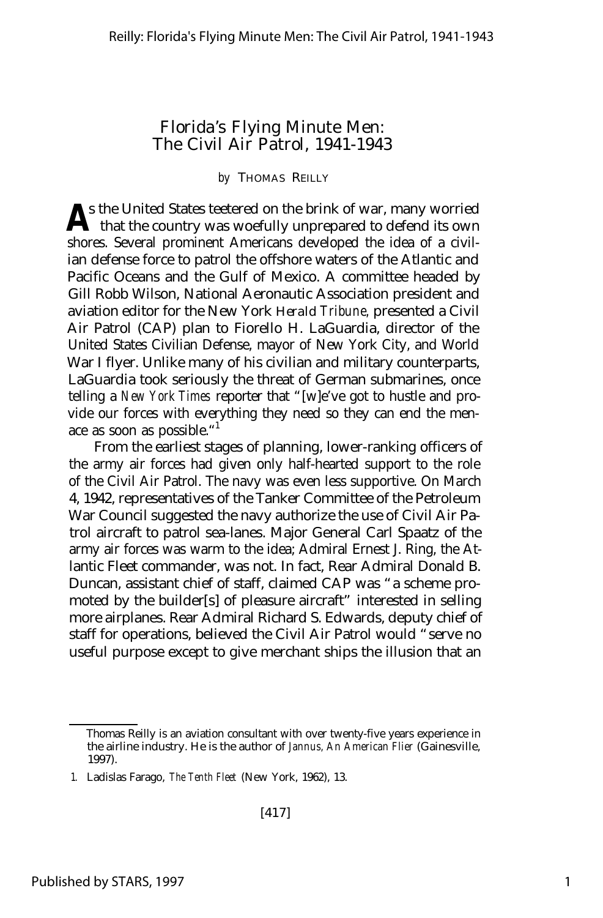## Florida's Flying Minute Men: The Civil Air Patrol, 1941-1943

#### *by* THOMAS REILLY

s the United States teetered on the brink of war, many worried **A** that the country was woefully unprepared to defend its own shores. Several prominent Americans developed the idea of a civilian defense force to patrol the offshore waters of the Atlantic and Pacific Oceans and the Gulf of Mexico. A committee headed by Gill Robb Wilson, National Aeronautic Association president and aviation editor for the New York *Herald Tribune,* presented a Civil Air Patrol (CAP) plan to Fiorello H. LaGuardia, director of the United States Civilian Defense, mayor of New York City, and World War I flyer. Unlike many of his civilian and military counterparts, LaGuardia took seriously the threat of German submarines, once telling a *New York Times* reporter that "[w]e've got to hustle and provide our forces with everything they need so they can end the menace as soon as possible."<sup>1</sup>

From the earliest stages of planning, lower-ranking officers of the army air forces had given only half-hearted support to the role of the Civil Air Patrol. The navy was even less supportive. On March 4, 1942, representatives of the Tanker Committee of the Petroleum War Council suggested the navy authorize the use of Civil Air Patrol aircraft to patrol sea-lanes. Major General Carl Spaatz of the army air forces was warm to the idea; Admiral Ernest J. Ring, the Atlantic Fleet commander, was not. In fact, Rear Admiral Donald B. Duncan, assistant chief of staff, claimed CAP was "a scheme promoted by the builder[s] of pleasure aircraft" interested in selling more airplanes. Rear Admiral Richard S. Edwards, deputy chief of staff for operations, believed the Civil Air Patrol would "serve no useful purpose except to give merchant ships the illusion that an

Thomas Reilly is an aviation consultant with over twenty-five years experience in the airline industry. He is the author of *Jannus, An American Flier* (Gainesville, 1997).

<sup>1.</sup> Ladislas Farago, *The Tenth Fleet* (New York, 1962), 13.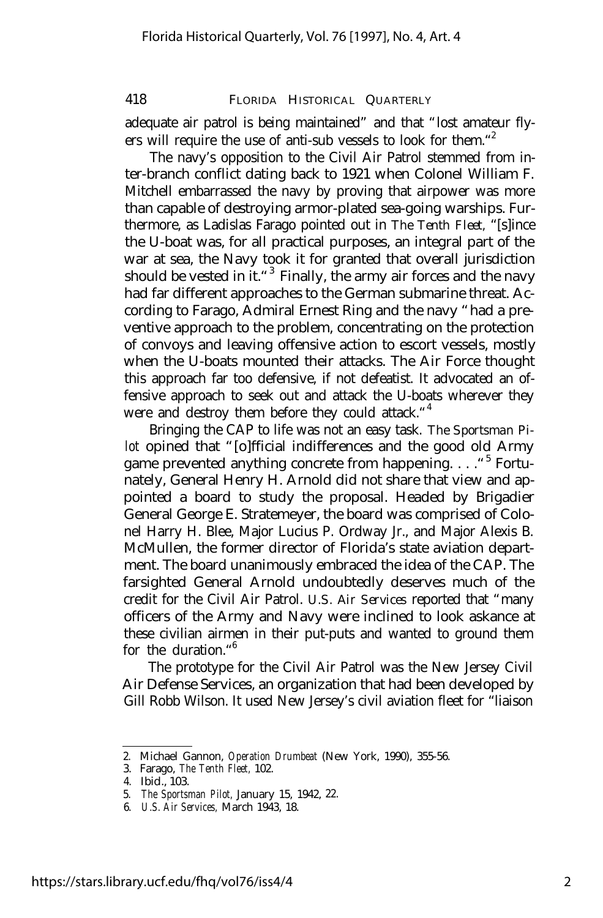adequate air patrol is being maintained" and that "lost amateur flyers will require the use of anti-sub vessels to look for them."<sup>2</sup>

The navy's opposition to the Civil Air Patrol stemmed from inter-branch conflict dating back to 1921 when Colonel William F. Mitchell embarrassed the navy by proving that airpower was more than capable of destroying armor-plated sea-going warships. Furthermore, as Ladislas Farago pointed out in *The Tenth Fleet,* "[s]ince the U-boat was, for all practical purposes, an integral part of the war at sea, the Navy took it for granted that overall jurisdiction should be vested in it."<sup>3</sup> Finally, the army air forces and the navy had far different approaches to the German submarine threat. According to Farago, Admiral Ernest Ring and the navy "had a preventive approach to the problem, concentrating on the protection of convoys and leaving offensive action to escort vessels, mostly when the U-boats mounted their attacks. The Air Force thought this approach far too defensive, if not defeatist. It advocated an offensive approach to seek out and attack the U-boats wherever they were and destroy them before they could attack. "4

Bringing the CAP to life was not an easy task. *The Sportsman Pilot* opined that "[o]fficial indifferences and the good old Army game prevented anything concrete from happening. . . . "<sup>5</sup> Fortunately, General Henry H. Arnold did not share that view and appointed a board to study the proposal. Headed by Brigadier General George E. Stratemeyer, the board was comprised of Colonel Harry H. Blee, Major Lucius P. Ordway Jr., and Major Alexis B. McMullen, the former director of Florida's state aviation department. The board unanimously embraced the idea of the CAP. The farsighted General Arnold undoubtedly deserves much of the credit for the Civil Air Patrol. *U.S. Air Services* reported that "many officers of the Army and Navy were inclined to look askance at these civilian airmen in their put-puts and wanted to ground them for the duration."<sup>6</sup>

The prototype for the Civil Air Patrol was the New Jersey Civil Air Defense Services, an organization that had been developed by Gill Robb Wilson. It used New Jersey's civil aviation fleet for "liaison

<sup>2.</sup> Michael Gannon, *Operation Drumbeat* (New York, 1990), 355-56.

<sup>3.</sup> Farago, *The Tenth Fleet,* 102.

<sup>4.</sup> Ibid., 103.

<sup>5.</sup> *The Sportsman Pilot,* January 15, 1942, 22.

<sup>6.</sup> *U.S. Air Services,* March 1943, 18.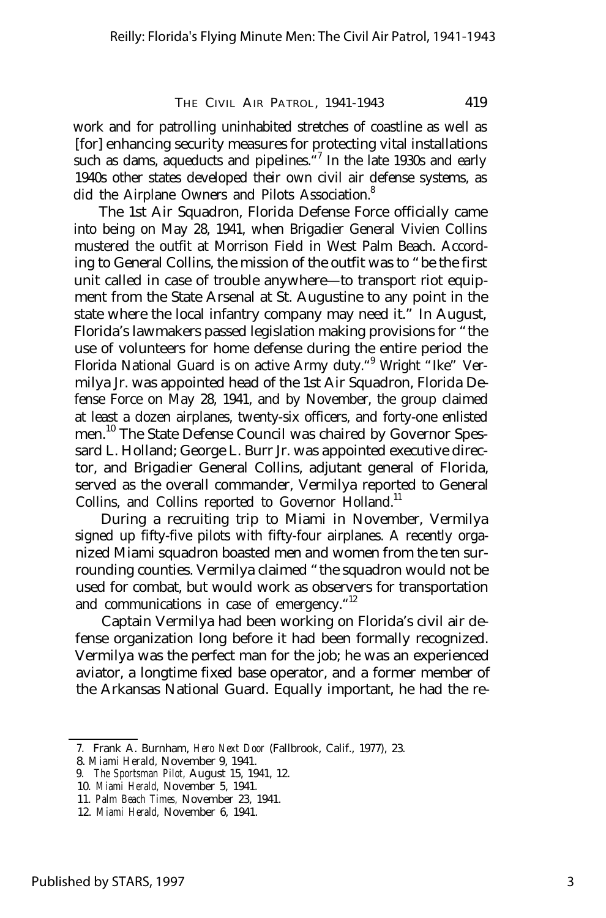work and for patrolling uninhabited stretches of coastline as well as [for] enhancing security measures for protecting vital installations such as dams, aqueducts and pipelines.<sup>47</sup> In the late 1930s and early 1940s other states developed their own civil air defense systems, as did the Airplane Owners and Pilots Association.<sup>8</sup>

The 1st Air Squadron, Florida Defense Force officially came into being on May 28, 1941, when Brigadier General Vivien Collins mustered the outfit at Morrison Field in West Palm Beach. According to General Collins, the mission of the outfit was to "be the first unit called in case of trouble anywhere— to transport riot equipment from the State Arsenal at St. Augustine to any point in the state where the local infantry company may need it." In August, Florida's lawmakers passed legislation making provisions for "the use of volunteers for home defense during the entire period the Florida National Guard is on active Army duty."<sup>9</sup> Wright "Ike" Vermilya Jr. was appointed head of the 1st Air Squadron, Florida Defense Force on May 28, 1941, and by November, the group claimed at least a dozen airplanes, twenty-six officers, and forty-one enlisted men.<sup>10</sup> The State Defense Council was chaired by Governor Spessard L. Holland; George L. Burr Jr. was appointed executive director, and Brigadier General Collins, adjutant general of Florida, served as the overall commander, Vermilya reported to General Collins, and Collins reported to Governor Holland.<sup>11</sup>

During a recruiting trip to Miami in November, Vermilya signed up fifty-five pilots with fifty-four airplanes. A recently organized Miami squadron boasted men and women from the ten surrounding counties. Vermilya claimed "the squadron would not be used for combat, but would work as observers for transportation and communications in case of emergency."<sup>12</sup>

Captain Vermilya had been working on Florida's civil air defense organization long before it had been formally recognized. Vermilya was the perfect man for the job; he was an experienced aviator, a longtime fixed base operator, and a former member of the Arkansas National Guard. Equally important, he had the re-

<sup>7.</sup> Frank A. Burnham, *Hero Next Door* (Fallbrook, Calif., 1977), 23.

<sup>8.</sup> *Miami Herald,* November 9, 1941.

<sup>9.</sup> *The Sportsman Pilot,* August 15, 1941, 12.

<sup>10.</sup> *Miami Herald,* November 5, 1941.

<sup>11.</sup> *Palm Beach Times,* November 23, 1941.

<sup>12.</sup> *Miami Herald,* November 6, 1941.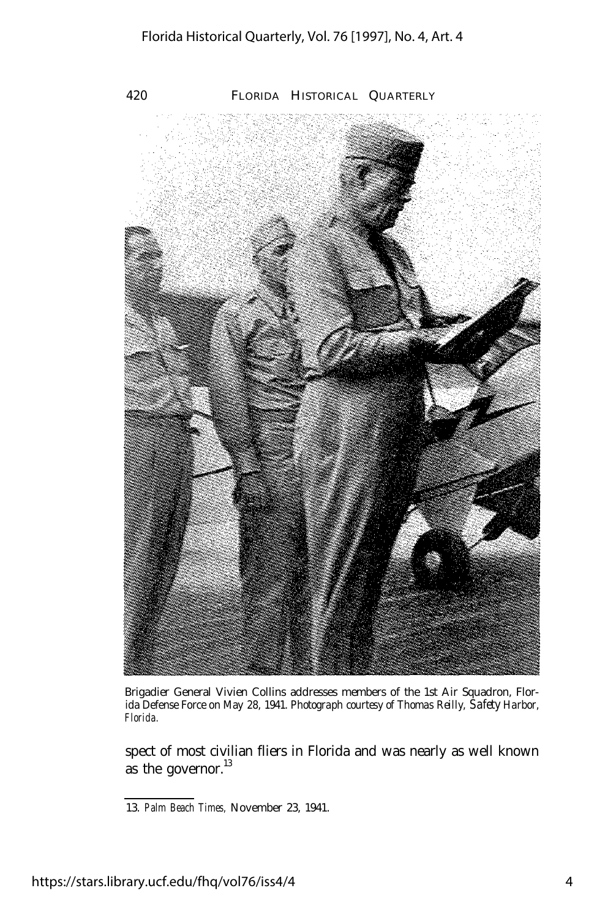

Brigadier General Vivien Collins addresses members of the 1st Air Squadron, Florida Defense Force on May 28, 1941. *Photograph courtesy of Thomas Reilly, Safety Harbor, Florida.*

spect of most civilian fliers in Florida and was nearly as well known as the governor. $^{13}$ 

<sup>13.</sup> *Palm Beach Times,* November 23, 1941.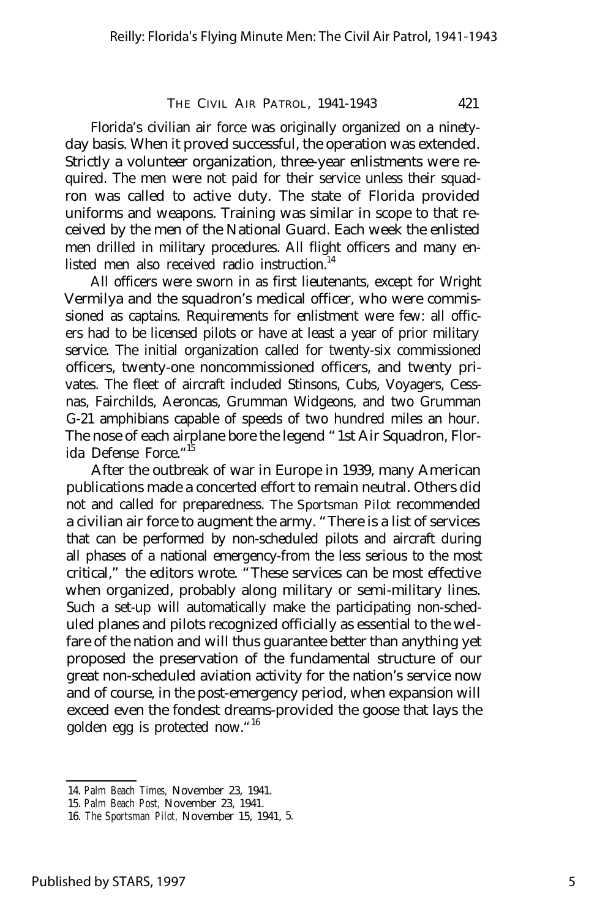Florida's civilian air force was originally organized on a ninetyday basis. When it proved successful, the operation was extended. Strictly a volunteer organization, three-year enlistments were required. The men were not paid for their service unless their squadron was called to active duty. The state of Florida provided uniforms and weapons. Training was similar in scope to that received by the men of the National Guard. Each week the enlisted men drilled in military procedures. All flight officers and many enlisted men also received radio instruction.<sup>14</sup>

All officers were sworn in as first lieutenants, except for Wright Vermilya and the squadron's medical officer, who were commissioned as captains. Requirements for enlistment were few: all officers had to be licensed pilots or have at least a year of prior military service. The initial organization called for twenty-six commissioned officers, twenty-one noncommissioned officers, and twenty privates. The fleet of aircraft included Stinsons, Cubs, Voyagers, Cessnas, Fairchilds, Aeroncas, Grumman Widgeons, and two Grumman G-21 amphibians capable of speeds of two hundred miles an hour. The nose of each airplane bore the legend "1st Air Squadron, Florida Defense Force."<sup>15</sup>

After the outbreak of war in Europe in 1939, many American publications made a concerted effort to remain neutral. Others did not and called for preparedness. *The Sportsman Pilot* recommended a civilian air force to augment the army. "There is a list of services that can be performed by non-scheduled pilots and aircraft during all phases of a national emergency-from the less serious to the most critical," the editors wrote. "These services can be most effective when organized, probably along military or semi-military lines. Such a set-up will automatically make the participating non-scheduled planes and pilots recognized officially as essential to the welfare of the nation and will thus guarantee better than anything yet proposed the preservation of the fundamental structure of our great non-scheduled aviation activity for the nation's service now and of course, in the post-emergency period, when expansion will exceed even the fondest dreams-provided the goose that lays the golden egg is protected now."<sup>16</sup>

<sup>14.</sup> *Palm Beach Times,* November 23, 1941.

<sup>15.</sup> *Palm Beach Post,* November 23, 1941.

<sup>16.</sup> *The Sportsman Pilot,* November 15, 1941, 5.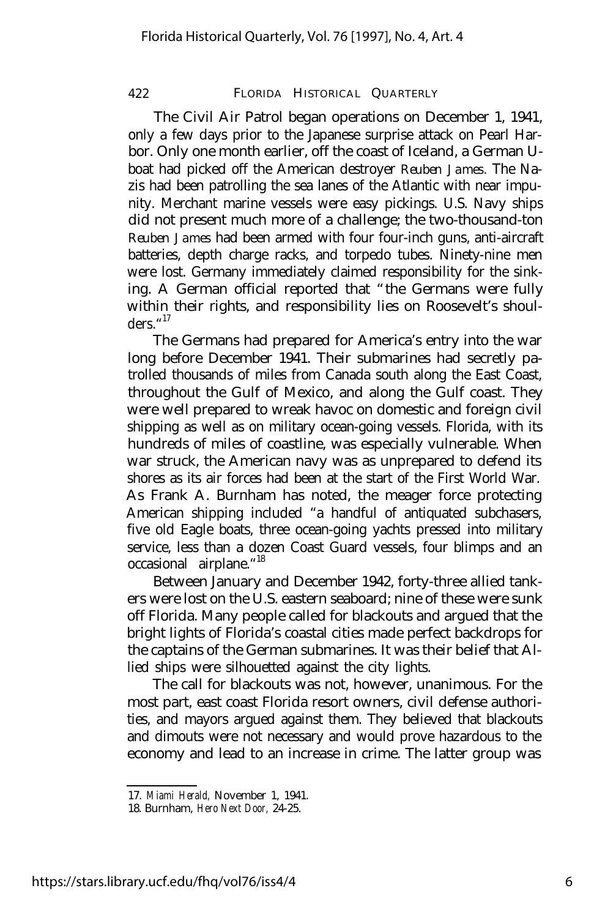The Civil Air Patrol began operations on December 1, 1941, only a few days prior to the Japanese surprise attack on Pearl Harbor. Only one month earlier, off the coast of Iceland, a German Uboat had picked off the American destroyer *Reuben James.* The Nazis had been patrolling the sea lanes of the Atlantic with near impunity. Merchant marine vessels were easy pickings. U.S. Navy ships did not present much more of a challenge; the two-thousand-ton *Reuben James* had been armed with four four-inch guns, anti-aircraft batteries, depth charge racks, and torpedo tubes. Ninety-nine men were lost. Germany immediately claimed responsibility for the sinking. A German official reported that "the Germans were fully within their rights, and responsibility lies on Roosevelt's shoulders." 17

The Germans had prepared for America's entry into the war long before December 1941. Their submarines had secretly patrolled thousands of miles from Canada south along the East Coast, throughout the Gulf of Mexico, and along the Gulf coast. They were well prepared to wreak havoc on domestic and foreign civil shipping as well as on military ocean-going vessels. Florida, with its hundreds of miles of coastline, was especially vulnerable. When war struck, the American navy was as unprepared to defend its shores as its air forces had been at the start of the First World War. As Frank A. Burnham has noted, the meager force protecting American shipping included "a handful of antiquated subchasers, five old Eagle boats, three ocean-going yachts pressed into military service, less than a dozen Coast Guard vessels, four blimps and an occasional airplane."<sup>18</sup>

Between January and December 1942, forty-three allied tankers were lost on the U.S. eastern seaboard; nine of these were sunk off Florida. Many people called for blackouts and argued that the bright lights of Florida's coastal cities made perfect backdrops for the captains of the German submarines. It was their belief that Allied ships were silhouetted against the city lights.

The call for blackouts was not, however, unanimous. For the most part, east coast Florida resort owners, civil defense authorities, and mayors argued against them. They believed that blackouts and dimouts were not necessary and would prove hazardous to the economy and lead to an increase in crime. The latter group was

<sup>17.</sup> *Miami Herald,* November 1, 1941.

<sup>18.</sup> Burnham, *Hero Next Door,* 24-25.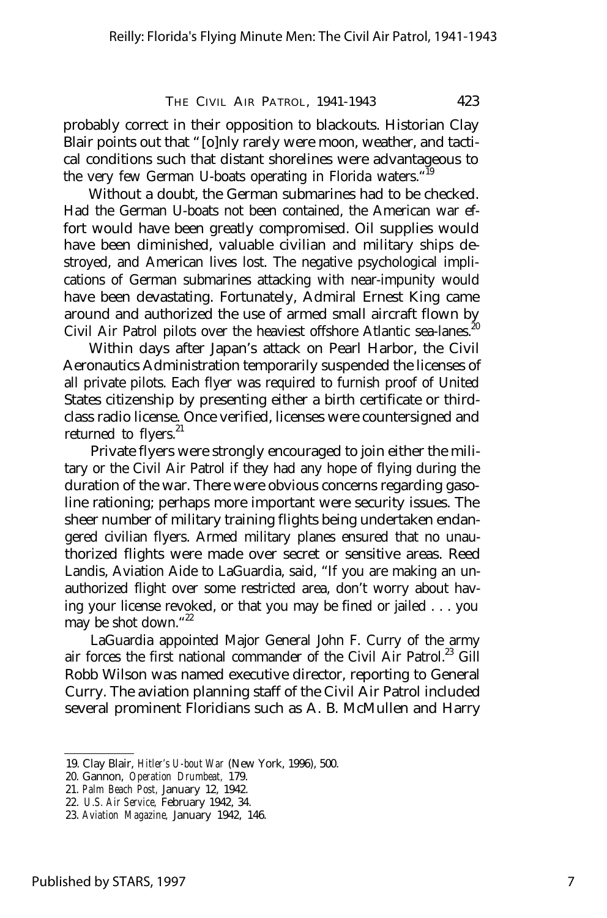probably correct in their opposition to blackouts. Historian Clay Blair points out that "[o]nly rarely were moon, weather, and tactical conditions such that distant shorelines were advantageous to the very few German U-boats operating in Florida waters."<sup>19</sup>

Without a doubt, the German submarines had to be checked. Had the German U-boats not been contained, the American war effort would have been greatly compromised. Oil supplies would have been diminished, valuable civilian and military ships destroyed, and American lives lost. The negative psychological implications of German submarines attacking with near-impunity would have been devastating. Fortunately, Admiral Ernest King came around and authorized the use of armed small aircraft flown by Civil Air Patrol pilots over the heaviest offshore Atlantic sea-lanes.<sup>20</sup>

Within days after Japan's attack on Pearl Harbor, the Civil Aeronautics Administration temporarily suspended the licenses of all private pilots. Each flyer was required to furnish proof of United States citizenship by presenting either a birth certificate or thirdclass radio license. Once verified, licenses were countersigned and returned to flyers.<sup>21</sup>

Private flyers were strongly encouraged to join either the military or the Civil Air Patrol if they had any hope of flying during the duration of the war. There were obvious concerns regarding gasoline rationing; perhaps more important were security issues. The sheer number of military training flights being undertaken endangered civilian flyers. Armed military planes ensured that no unauthorized flights were made over secret or sensitive areas. Reed Landis, Aviation Aide to LaGuardia, said, "If you are making an unauthorized flight over some restricted area, don't worry about having your license revoked, or that you may be fined or jailed . . . you may be shot down."22

LaGuardia appointed Major General John F. Curry of the army air forces the first national commander of the Civil Air Patrol.<sup>23</sup> Gill Robb Wilson was named executive director, reporting to General Curry. The aviation planning staff of the Civil Air Patrol included several prominent Floridians such as A. B. McMullen and Harry

<sup>19.</sup> Clay Blair, *Hitler's U-bout War* (New York, 1996), 500.

<sup>20.</sup> Gannon, *Operation Drumbeat,* 179.

<sup>21.</sup> *Palm Beach Post,* January 12, 1942.

<sup>22.</sup> *U.S. Air Service,* February 1942, 34.

<sup>23.</sup> *Aviation Magazine,* January 1942, 146.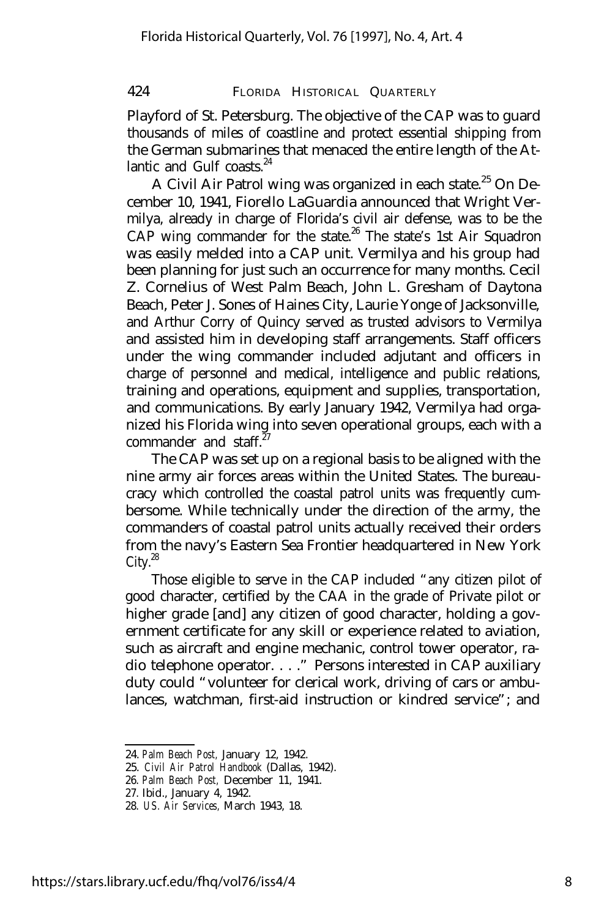Playford of St. Petersburg. The objective of the CAP was to guard thousands of miles of coastline and protect essential shipping from the German submarines that menaced the entire length of the Atlantic and Gulf coasts. $24$ 

A Civil Air Patrol wing was organized in each state.<sup>25</sup> On December 10, 1941, Fiorello LaGuardia announced that Wright Vermilya, already in charge of Florida's civil air defense, was to be the  $CAP$  wing commander for the state.<sup>26</sup> The state's 1st Air Squadron was easily melded into a CAP unit. Vermilya and his group had been planning for just such an occurrence for many months. Cecil Z. Cornelius of West Palm Beach, John L. Gresham of Daytona Beach, Peter J. Sones of Haines City, Laurie Yonge of Jacksonville, and Arthur Corry of Quincy served as trusted advisors to Vermilya and assisted him in developing staff arrangements. Staff officers under the wing commander included adjutant and officers in charge of personnel and medical, intelligence and public relations, training and operations, equipment and supplies, transportation, and communications. By early January 1942, Vermilya had organized his Florida wing into seven operational groups, each with a commander and staff<sup>27</sup>

The CAP was set up on a regional basis to be aligned with the nine army air forces areas within the United States. The bureaucracy which controlled the coastal patrol units was frequently cumbersome. While technically under the direction of the army, the commanders of coastal patrol units actually received their orders from the navy's Eastern Sea Frontier headquartered in New York  $City.<sup>28</sup>$ 

Those eligible to serve in the CAP included "any citizen pilot of good character, certified by the CAA in the grade of Private pilot or higher grade [and] any citizen of good character, holding a government certificate for any skill or experience related to aviation, such as aircraft and engine mechanic, control tower operator, radio telephone operator. . . ." Persons interested in CAP auxiliary duty could "volunteer for clerical work, driving of cars or ambulances, watchman, first-aid instruction or kindred service"; and

<sup>24.</sup> *Palm Beach Post,* January 12, 1942.

<sup>25.</sup> *Civil Air Patrol Handbook* (Dallas, 1942).

<sup>26.</sup> *Palm Beach Post,* December 11, 1941.

<sup>27.</sup> Ibid., January 4, 1942.

<sup>28.</sup> *US. Air Services,* March 1943, 18.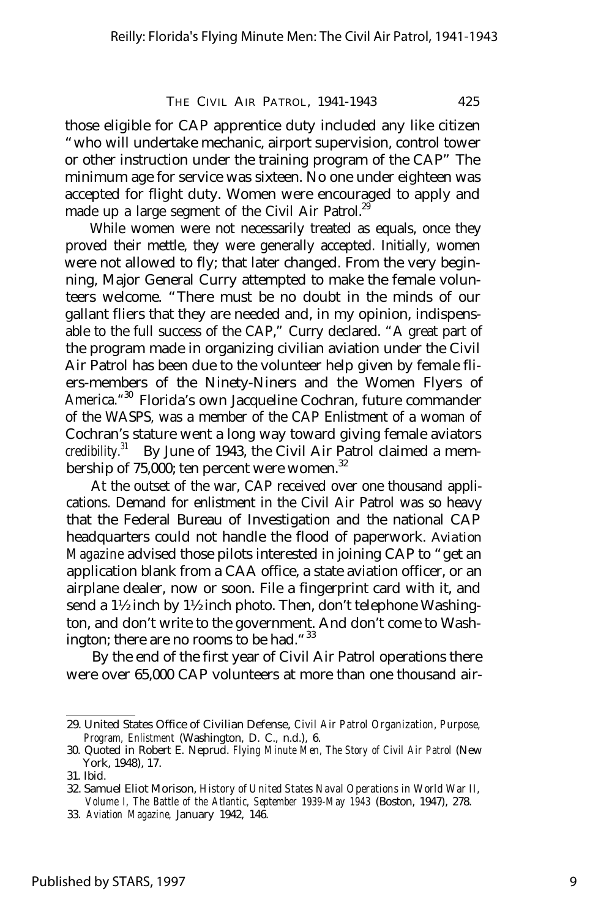those eligible for CAP apprentice duty included any like citizen "who will undertake mechanic, airport supervision, control tower or other instruction under the training program of the CAP" The minimum age for service was sixteen. No one under eighteen was accepted for flight duty. Women were encouraged to apply and made up a large segment of the Civil Air Patrol.<sup>29</sup>

While women were not necessarily treated as equals, once they proved their mettle, they were generally accepted. Initially, women were not allowed to fly; that later changed. From the very beginning, Major General Curry attempted to make the female volunteers welcome. "There must be no doubt in the minds of our gallant fliers that they are needed and, in my opinion, indispensable to the full success of the CAP," Curry declared. "A great part of the program made in organizing civilian aviation under the Civil Air Patrol has been due to the volunteer help given by female fliers-members of the Ninety-Niners and the Women Flyers of America." <sup>30</sup> Florida's own Jacqueline Cochran, future commander of the WASPS, was a member of the CAP Enlistment of a woman of Cochran's stature went a long way toward giving female aviators credibility.<sup>31</sup> By June of 1943, the Civil Air Patrol claimed a membership of  $75,000$ ; ten percent were women.<sup>32</sup>

At the outset of the war, CAP received over one thousand applications. Demand for enlistment in the Civil Air Patrol was so heavy that the Federal Bureau of Investigation and the national CAP headquarters could not handle the flood of paperwork. *Aviation Magazine* advised those pilots interested in joining CAP to "get an application blank from a CAA office, a state aviation officer, or an airplane dealer, now or soon. File a fingerprint card with it, and send a 1½ inch by 1½ inch photo. Then, don't telephone Washington, and don't write to the government. And don't come to Washington; there are no rooms to be had. " $33$ 

By the end of the first year of Civil Air Patrol operations there were over 65,000 CAP volunteers at more than one thousand air-

<sup>29.</sup> United States Office of Civilian Defense, *Civil Air Patrol Organization, Purpose, Program, Enlistment* (Washington, D. C., n.d.), 6.

<sup>30.</sup> Quoted in Robert E. Neprud. *Flying Minute Men, The Story of Civil Air Patrol* (New York, 1948), 17.

<sup>31.</sup> Ibid.

<sup>32.</sup> Samuel Eliot Morison, *History of United States Naval Operations in World War II, Volume I, The Battle of the Atlantic, September 1939-May 1943* (Boston, 1947), 278.

<sup>33.</sup> *Aviation Magazine,* January 1942, 146.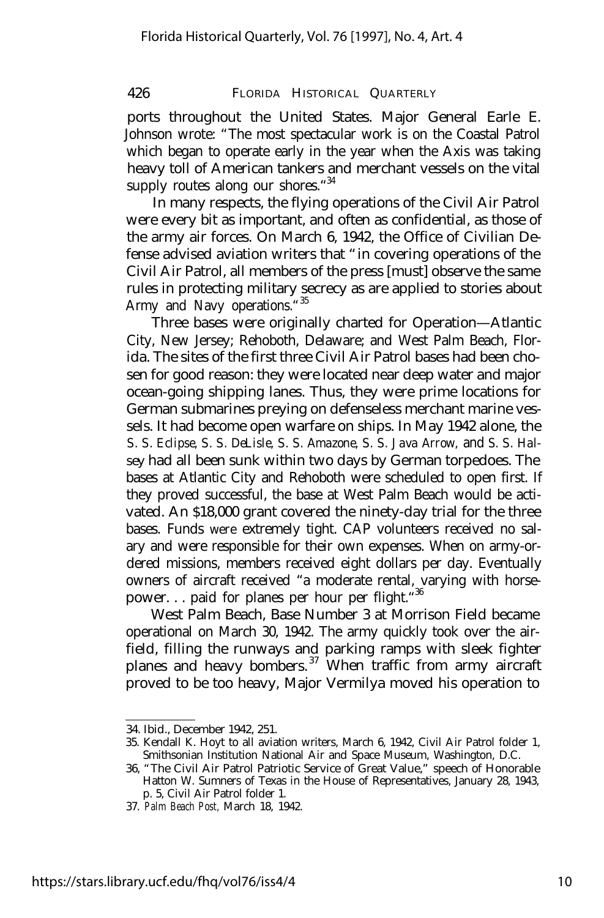ports throughout the United States. Major General Earle E. Johnson wrote: "The most spectacular work is on the Coastal Patrol which began to operate early in the year when the Axis was taking heavy toll of American tankers and merchant vessels on the vital supply routes along our shores. "34

In many respects, the flying operations of the Civil Air Patrol were every bit as important, and often as confidential, as those of the army air forces. On March 6, 1942, the Office of Civilian Defense advised aviation writers that "in covering operations of the Civil Air Patrol, all members of the press [must] observe the same rules in protecting military secrecy as are applied to stories about Army and Navy operations."<sup>35</sup>

Three bases were originally charted for Operation— Atlantic City, New Jersey; Rehoboth, Delaware; and West Palm Beach, Florida. The sites of the first three Civil Air Patrol bases had been chosen for good reason: they were located near deep water and major ocean-going shipping lanes. Thus, they were prime locations for German submarines preying on defenseless merchant marine vessels. It had become open warfare on ships. In May 1942 alone, the *S. S. Eclipse, S. S. DeLisle, S. S. Amazone, S. S. Java Arrow,* and S. *S. Halsey* had all been sunk within two days by German torpedoes. The bases at Atlantic City and Rehoboth were scheduled to open first. If they proved successful, the base at West Palm Beach would be activated. An \$18,000 grant covered the ninety-day trial for the three bases. Funds were extremely tight. CAP volunteers received no salary and were responsible for their own expenses. When on army-ordered missions, members received eight dollars per day. Eventually owners of aircraft received "a moderate rental, varying with horsepower... paid for planes per hour per flight."<sup>36</sup>

West Palm Beach, Base Number 3 at Morrison Field became operational on March 30, 1942. The army quickly took over the airfield, filling the runways and parking ramps with sleek fighter planes and heavy bombers.<sup>37</sup> When traffic from army aircraft proved to be too heavy, Major Vermilya moved his operation to

<sup>34.</sup> Ibid., December 1942, 251.

<sup>35.</sup> Kendall K. Hoyt to all aviation writers, March 6, 1942, Civil Air Patrol folder 1, Smithsonian Institution National Air and Space Museum, Washington, D.C.

<sup>36, &</sup>quot;The Civil Air Patrol Patriotic Service of Great Value," speech of Honorable Hatton W. Sumners of Texas in the House of Representatives, January 28, 1943, p. 5, Civil Air Patrol folder 1.

<sup>37.</sup> *Palm Beach Post,* March 18, 1942.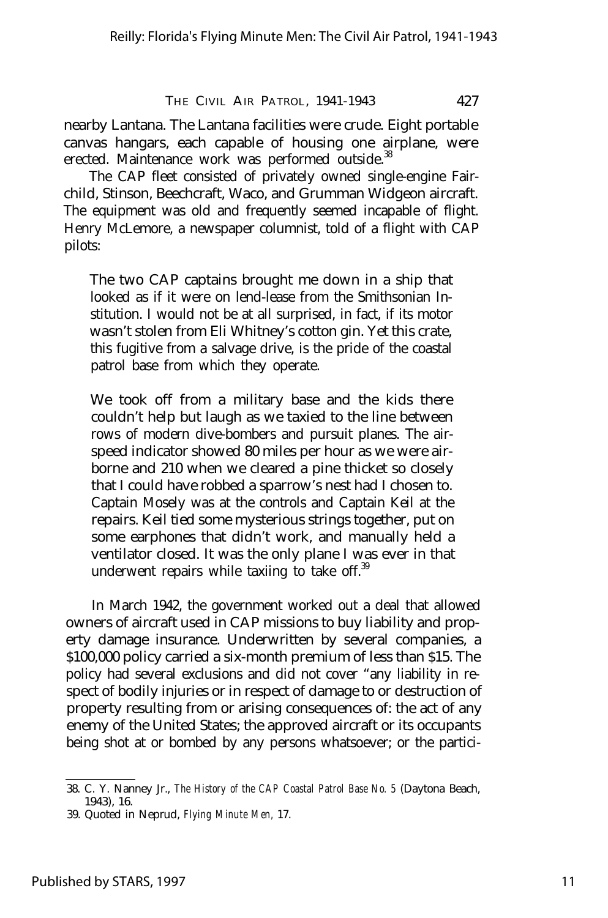nearby Lantana. The Lantana facilities were crude. Eight portable canvas hangars, each capable of housing one airplane, were erected. Maintenance work was performed outside.<sup>38</sup>

The CAP fleet consisted of privately owned single-engine Fairchild, Stinson, Beechcraft, Waco, and Grumman Widgeon aircraft. The equipment was old and frequently seemed incapable of flight. Henry McLemore, a newspaper columnist, told of a flight with CAP pilots:

The two CAP captains brought me down in a ship that looked as if it were on lend-lease from the Smithsonian Institution. I would not be at all surprised, in fact, if its motor wasn't stolen from Eli Whitney's cotton gin. Yet this crate, this fugitive from a salvage drive, is the pride of the coastal patrol base from which they operate.

We took off from a military base and the kids there couldn't help but laugh as we taxied to the line between rows of modern dive-bombers and pursuit planes. The airspeed indicator showed 80 miles per hour as we were airborne and 210 when we cleared a pine thicket so closely that I could have robbed a sparrow's nest had I chosen to. Captain Mosely was at the controls and Captain Keil at the repairs. Keil tied some mysterious strings together, put on some earphones that didn't work, and manually held a ventilator closed. It was the only plane I was ever in that underwent repairs while taxiing to take off. $39$ 

In March 1942, the government worked out a deal that allowed owners of aircraft used in CAP missions to buy liability and property damage insurance. Underwritten by several companies, a \$100,000 policy carried a six-month premium of less than \$15. The policy had several exclusions and did not cover "any liability in respect of bodily injuries or in respect of damage to or destruction of property resulting from or arising consequences of: the act of any enemy of the United States; the approved aircraft or its occupants being shot at or bombed by any persons whatsoever; or the partici-

<sup>38.</sup> C. Y. Nanney Jr., *The History of the CAP Coastal Patrol Base No. 5* (Daytona Beach, 1943), 16.

<sup>39.</sup> Quoted in Neprud, *Flying Minute Men,* 17.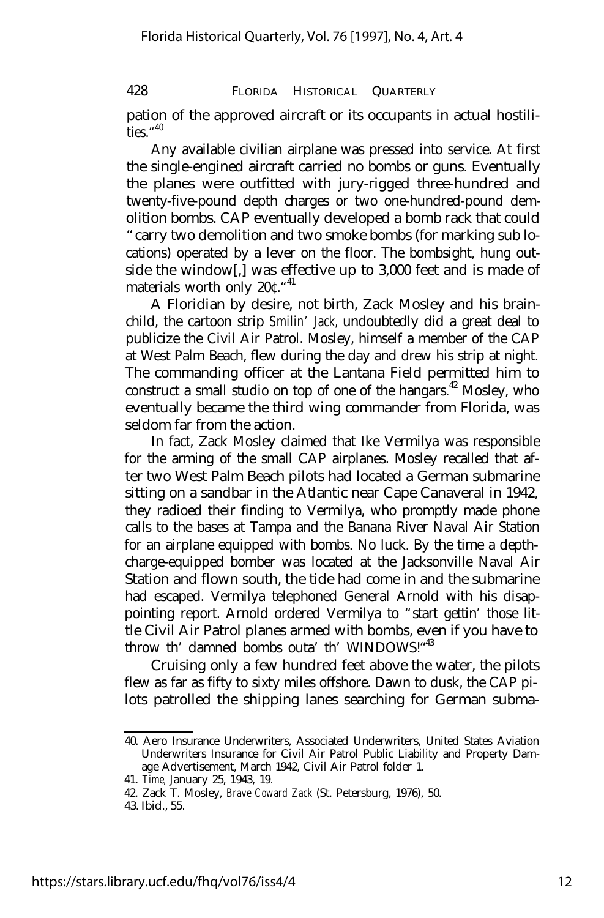pation of the approved aircraft or its occupants in actual hostilities." 40

Any available civilian airplane was pressed into service. At first the single-engined aircraft carried no bombs or guns. Eventually the planes were outfitted with jury-rigged three-hundred and twenty-five-pound depth charges or two one-hundred-pound demolition bombs. CAP eventually developed a bomb rack that could "carry two demolition and two smoke bombs (for marking sub locations) operated by a lever on the floor. The bombsight, hung outside the window[,] was effective up to 3,000 feet and is made of materials worth only 20<sup>c.</sup>"<sup>41</sup>

A Floridian by desire, not birth, Zack Mosley and his brainchild, the cartoon strip *Smilin' Jack,* undoubtedly did a great deal to publicize the Civil Air Patrol. Mosley, himself a member of the CAP at West Palm Beach, flew during the day and drew his strip at night. The commanding officer at the Lantana Field permitted him to construct a small studio on top of one of the hangars.<sup> $42$ </sup> Mosley, who eventually became the third wing commander from Florida, was seldom far from the action.

In fact, Zack Mosley claimed that Ike Vermilya was responsible for the arming of the small CAP airplanes. Mosley recalled that after two West Palm Beach pilots had located a German submarine sitting on a sandbar in the Atlantic near Cape Canaveral in 1942, they radioed their finding to Vermilya, who promptly made phone calls to the bases at Tampa and the Banana River Naval Air Station for an airplane equipped with bombs. No luck. By the time a depthcharge-equipped bomber was located at the Jacksonville Naval Air Station and flown south, the tide had come in and the submarine had escaped. Vermilya telephoned General Arnold with his disappointing report. Arnold ordered Vermilya to "start gettin' those little Civil Air Patrol planes armed with bombs, even if you have to throw th' damned bombs outa' th' WINDOWS!"43

Cruising only a few hundred feet above the water, the pilots flew as far as fifty to sixty miles offshore. Dawn to dusk, the CAP pilots patrolled the shipping lanes searching for German subma-

<sup>40.</sup> Aero Insurance Underwriters, Associated Underwriters, United States Aviation Underwriters Insurance for Civil Air Patrol Public Liability and Property Damage Advertisement, March 1942, Civil Air Patrol folder 1.

<sup>41.</sup> *Time,* January 25, 1943, 19.

<sup>42.</sup> Zack T. Mosley, *Brave Coward Zack* (St. Petersburg, 1976), 50.

<sup>43.</sup> Ibid., 55.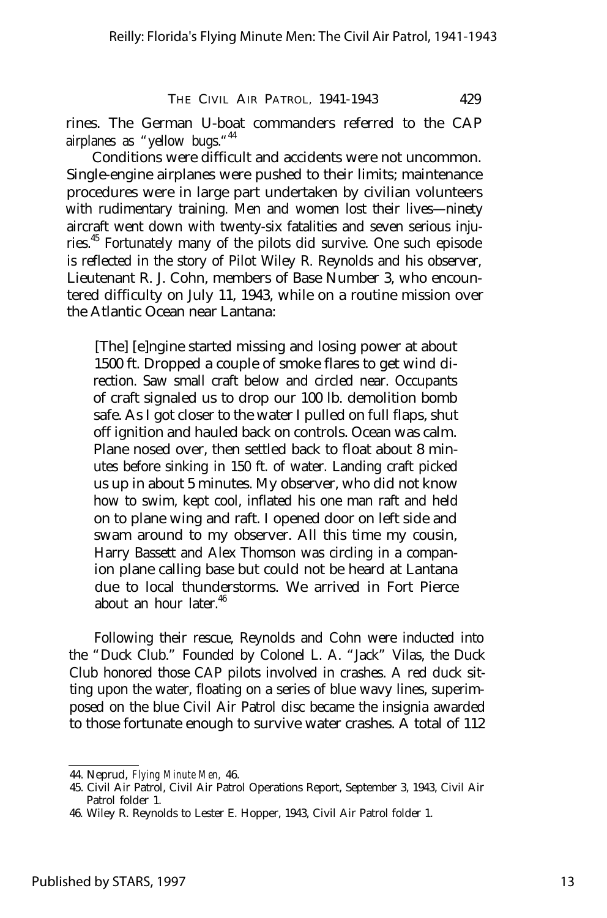rines. The German U-boat commanders referred to the CAP airplanes as "yellow bugs."<sup>44</sup>

Conditions were difficult and accidents were not uncommon. Single-engine airplanes were pushed to their limits; maintenance procedures were in large part undertaken by civilian volunteers with rudimentary training. Men and women lost their lives— ninety aircraft went down with twenty-six fatalities and seven serious injuries.<sup>45</sup> Fortunately many of the pilots did survive. One such episode is reflected in the story of Pilot Wiley R. Reynolds and his observer, Lieutenant R. J. Cohn, members of Base Number 3, who encountered difficulty on July 11, 1943, while on a routine mission over the Atlantic Ocean near Lantana:

[The] [e]ngine started missing and losing power at about 1500 ft. Dropped a couple of smoke flares to get wind direction. Saw small craft below and circled near. Occupants of craft signaled us to drop our 100 lb. demolition bomb safe. As I got closer to the water I pulled on full flaps, shut off ignition and hauled back on controls. Ocean was calm. Plane nosed over, then settled back to float about 8 minutes before sinking in 150 ft. of water. Landing craft picked us up in about 5 minutes. My observer, who did not know how to swim, kept cool, inflated his one man raft and held on to plane wing and raft. I opened door on left side and swam around to my observer. All this time my cousin, Harry Bassett and Alex Thomson was circling in a companion plane calling base but could not be heard at Lantana due to local thunderstorms. We arrived in Fort Pierce about an hour later.<sup>46</sup>

Following their rescue, Reynolds and Cohn were inducted into the "Duck Club." Founded by Colonel L. A. "Jack" Vilas, the Duck Club honored those CAP pilots involved in crashes. A red duck sitting upon the water, floating on a series of blue wavy lines, superimposed on the blue Civil Air Patrol disc became the insignia awarded to those fortunate enough to survive water crashes. A total of 112

<sup>44.</sup> Neprud, *Flying Minute Men,* 46.

<sup>45.</sup> Civil Air Patrol, Civil Air Patrol Operations Report, September 3, 1943, Civil Air Patrol folder 1.

<sup>46.</sup> Wiley R. Reynolds to Lester E. Hopper, 1943, Civil Air Patrol folder 1.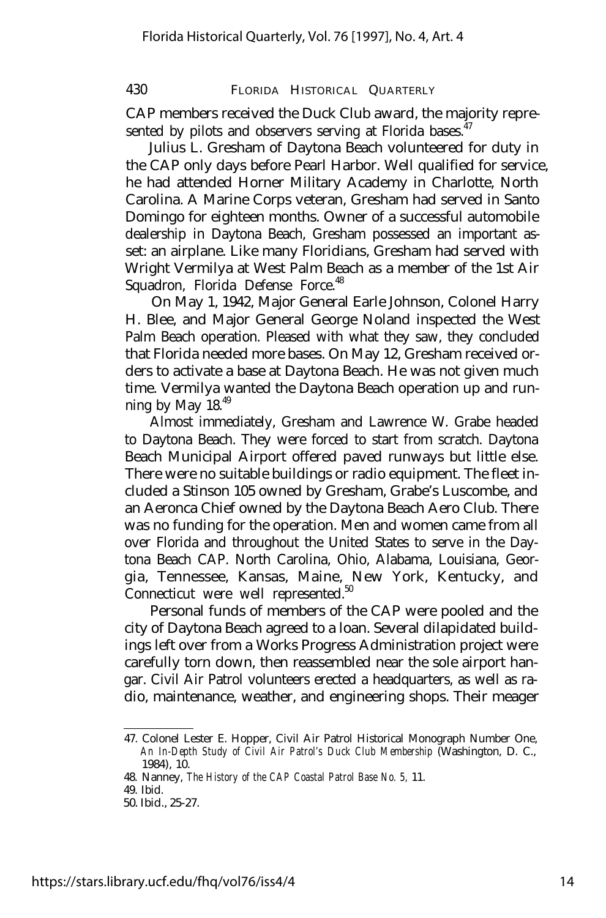CAP members received the Duck Club award, the majority represented by pilots and observers serving at Florida bases. $47$ 

Julius L. Gresham of Daytona Beach volunteered for duty in the CAP only days before Pearl Harbor. Well qualified for service, he had attended Horner Military Academy in Charlotte, North Carolina. A Marine Corps veteran, Gresham had served in Santo Domingo for eighteen months. Owner of a successful automobile dealership in Daytona Beach, Gresham possessed an important asset: an airplane. Like many Floridians, Gresham had served with Wright Vermilya at West Palm Beach as a member of the 1st Air Squadron, Florida Defense Force.<sup>48</sup>

On May 1, 1942, Major General Earle Johnson, Colonel Harry H. Blee, and Major General George Noland inspected the West Palm Beach operation. Pleased with what they saw, they concluded that Florida needed more bases. On May 12, Gresham received orders to activate a base at Daytona Beach. He was not given much time. Vermilya wanted the Daytona Beach operation up and running by May 18.<sup>49</sup>

Almost immediately, Gresham and Lawrence W. Grabe headed to Daytona Beach. They were forced to start from scratch. Daytona Beach Municipal Airport offered paved runways but little else. There were no suitable buildings or radio equipment. The fleet included a Stinson 105 owned by Gresham, Grabe's Luscombe, and an Aeronca Chief owned by the Daytona Beach Aero Club. There was no funding for the operation. Men and women came from all over Florida and throughout the United States to serve in the Daytona Beach CAP. North Carolina, Ohio, Alabama, Louisiana, Georgia, Tennessee, Kansas, Maine, New York, Kentucky, and Connecticut were well represented.<sup>50</sup>

Personal funds of members of the CAP were pooled and the city of Daytona Beach agreed to a loan. Several dilapidated buildings left over from a Works Progress Administration project were carefully torn down, then reassembled near the sole airport hangar. Civil Air Patrol volunteers erected a headquarters, as well as radio, maintenance, weather, and engineering shops. Their meager

<sup>47.</sup> Colonel Lester E. Hopper, Civil Air Patrol Historical Monograph Number One, *An In-Depth Study of Civil Air Patrol's Duck Club Membership* (Washington, D. C., 1984), 10.

<sup>48.</sup> Nanney, *The History of the CAP Coastal Patrol Base No. 5,* 11.

<sup>49.</sup> Ibid.

<sup>50.</sup> Ibid., 25-27.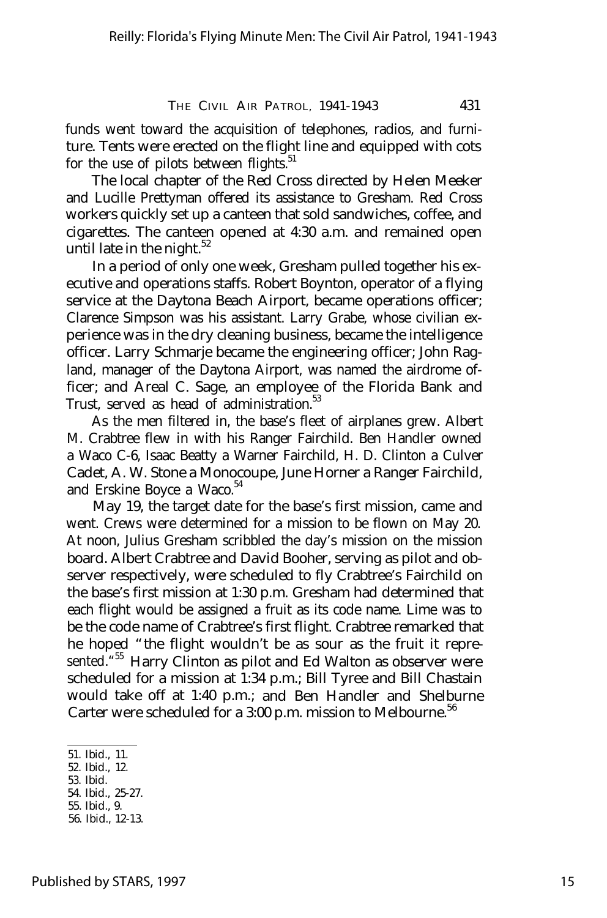funds went toward the acquisition of telephones, radios, and furniture. Tents were erected on the flight line and equipped with cots for the use of pilots between flights. $51$ 

The local chapter of the Red Cross directed by Helen Meeker and Lucille Prettyman offered its assistance to Gresham. Red Cross workers quickly set up a canteen that sold sandwiches, coffee, and cigarettes. The canteen opened at 4:30 a.m. and remained open until late in the night. $52$ 

In a period of only one week, Gresham pulled together his executive and operations staffs. Robert Boynton, operator of a flying service at the Daytona Beach Airport, became operations officer; Clarence Simpson was his assistant. Larry Grabe, whose civilian experience was in the dry cleaning business, became the intelligence officer. Larry Schmarje became the engineering officer; John Ragland, manager of the Daytona Airport, was named the airdrome officer; and Areal C. Sage, an employee of the Florida Bank and Trust, served as head of administration.<sup>53</sup>

As the men filtered in, the base's fleet of airplanes grew. Albert M. Crabtree flew in with his Ranger Fairchild. Ben Handler owned a Waco C-6, Isaac Beatty a Warner Fairchild, H. D. Clinton a Culver Cadet, A. W. Stone a Monocoupe, June Horner a Ranger Fairchild, and Erskine Boyce a Waco.<sup>54</sup>

May 19, the target date for the base's first mission, came and went. Crews were determined for a mission to be flown on May 20. At noon, Julius Gresham scribbled the day's mission on the mission board. Albert Crabtree and David Booher, serving as pilot and observer respectively, were scheduled to fly Crabtree's Fairchild on the base's first mission at 1:30 p.m. Gresham had determined that each flight would be assigned a fruit as its code name. Lime was to be the code name of Crabtree's first flight. Crabtree remarked that he hoped "the flight wouldn't be as sour as the fruit it represented.<sup>"55</sup> Harry Clinton as pilot and Ed Walton as observer were scheduled for a mission at 1:34 p.m.; Bill Tyree and Bill Chastain would take off at 1:40 p.m.; and Ben Handler and Shelburne Carter were scheduled for a 3:00 p.m. mission to Melbourne.<sup>56</sup>

56. Ibid., 12-13.

<sup>51.</sup> Ibid., 11.

<sup>52.</sup> Ibid., 12.

<sup>53.</sup> Ibid.

<sup>54.</sup> Ibid., 25-27. 55. Ibid., 9.

Published by STARS, 1997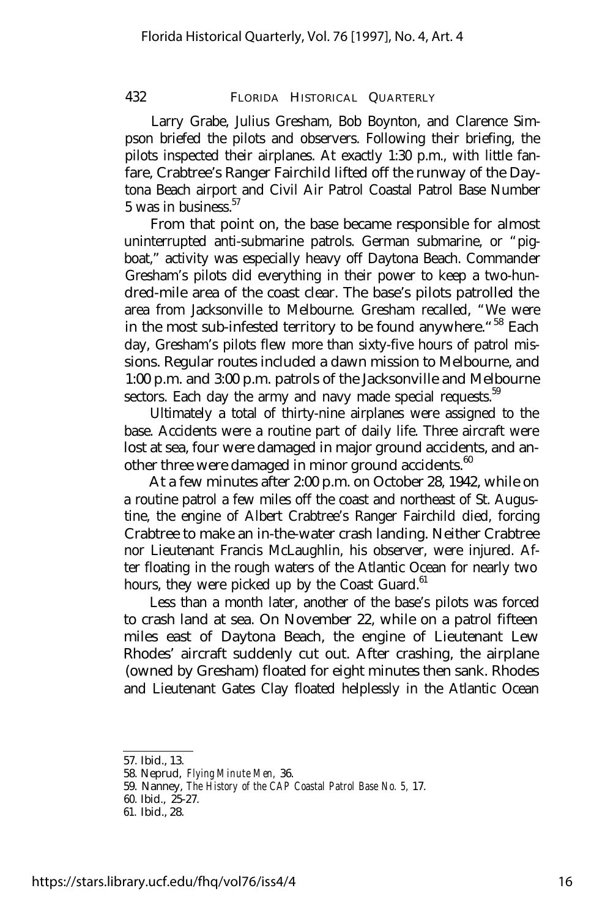Larry Grabe, Julius Gresham, Bob Boynton, and Clarence Simpson briefed the pilots and observers. Following their briefing, the pilots inspected their airplanes. At exactly 1:30 p.m., with little fanfare, Crabtree's Ranger Fairchild lifted off the runway of the Daytona Beach airport and Civil Air Patrol Coastal Patrol Base Number  $5$  was in business.  $57$ 

From that point on, the base became responsible for almost uninterrupted anti-submarine patrols. German submarine, or "pigboat," activity was especially heavy off Daytona Beach. Commander Gresham's pilots did everything in their power to keep a two-hundred-mile area of the coast clear. The base's pilots patrolled the area from Jacksonville to Melbourne. Gresham recalled, "We were in the most sub-infested territory to be found anywhere. "<sup>58</sup> Each day, Gresham's pilots flew more than sixty-five hours of patrol missions. Regular routes included a dawn mission to Melbourne, and 1:00 p.m. and 3:00 p.m. patrols of the Jacksonville and Melbourne sectors. Each day the army and navy made special requests.<sup>59</sup>

Ultimately a total of thirty-nine airplanes were assigned to the base. Accidents were a routine part of daily life. Three aircraft were lost at sea, four were damaged in major ground accidents, and another three were damaged in minor ground accidents.<sup>60</sup>

At a few minutes after 2:00 p.m. on October 28, 1942, while on a routine patrol a few miles off the coast and northeast of St. Augustine, the engine of Albert Crabtree's Ranger Fairchild died, forcing Crabtree to make an in-the-water crash landing. Neither Crabtree nor Lieutenant Francis McLaughlin, his observer, were injured. After floating in the rough waters of the Atlantic Ocean for nearly two hours, they were picked up by the Coast Guard. $61$ 

Less than a month later, another of the base's pilots was forced to crash land at sea. On November 22, while on a patrol fifteen miles east of Daytona Beach, the engine of Lieutenant Lew Rhodes' aircraft suddenly cut out. After crashing, the airplane (owned by Gresham) floated for eight minutes then sank. Rhodes and Lieutenant Gates Clay floated helplessly in the Atlantic Ocean

<sup>57.</sup> Ibid., 13.

<sup>58.</sup> Neprud, *Flying Minute Men,* 36.

<sup>59.</sup> Nanney, *The History of the CAP Coastal Patrol Base No. 5,* 17.

<sup>60.</sup> Ibid., 25-27.

<sup>61.</sup> Ibid., 28.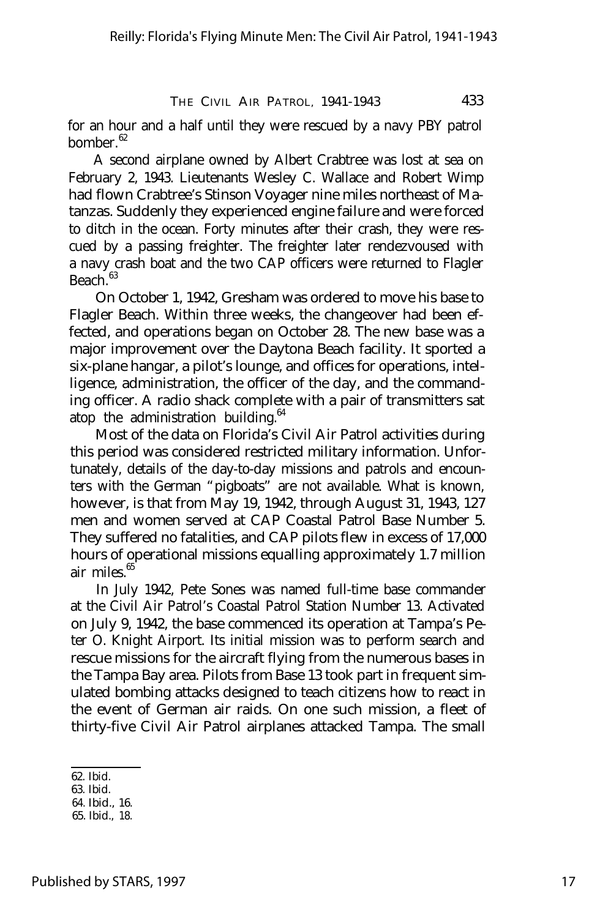for an hour and a half until they were rescued by a navy PBY patrol bomber.<sup>62</sup>

A second airplane owned by Albert Crabtree was lost at sea on February 2, 1943. Lieutenants Wesley C. Wallace and Robert Wimp had flown Crabtree's Stinson Voyager nine miles northeast of Matanzas. Suddenly they experienced engine failure and were forced to ditch in the ocean. Forty minutes after their crash, they were rescued by a passing freighter. The freighter later rendezvoused with a navy crash boat and the two CAP officers were returned to Flagler  $Beach.<sup>63</sup>$ 

On October 1, 1942, Gresham was ordered to move his base to Flagler Beach. Within three weeks, the changeover had been effected, and operations began on October 28. The new base was a major improvement over the Daytona Beach facility. It sported a six-plane hangar, a pilot's lounge, and offices for operations, intelligence, administration, the officer of the day, and the commanding officer. A radio shack complete with a pair of transmitters sat atop the administration building. $64$ 

Most of the data on Florida's Civil Air Patrol activities during this period was considered restricted military information. Unfortunately, details of the day-to-day missions and patrols and encounters with the German "pigboats" are not available. What is known, however, is that from May 19, 1942, through August 31, 1943, 127 men and women served at CAP Coastal Patrol Base Number 5. They suffered no fatalities, and CAP pilots flew in excess of 17,000 hours of operational missions equalling approximately 1.7 million air miles.<sup>65</sup>

In July 1942, Pete Sones was named full-time base commander at the Civil Air Patrol's Coastal Patrol Station Number 13. Activated on July 9, 1942, the base commenced its operation at Tampa's Peter O. Knight Airport. Its initial mission was to perform search and rescue missions for the aircraft flying from the numerous bases in the Tampa Bay area. Pilots from Base 13 took part in frequent simulated bombing attacks designed to teach citizens how to react in the event of German air raids. On one such mission, a fleet of thirty-five Civil Air Patrol airplanes attacked Tampa. The small

<sup>62.</sup> Ibid.

<sup>63.</sup> Ibid.

<sup>64.</sup> Ibid., 16.

<sup>65.</sup> Ibid., 18.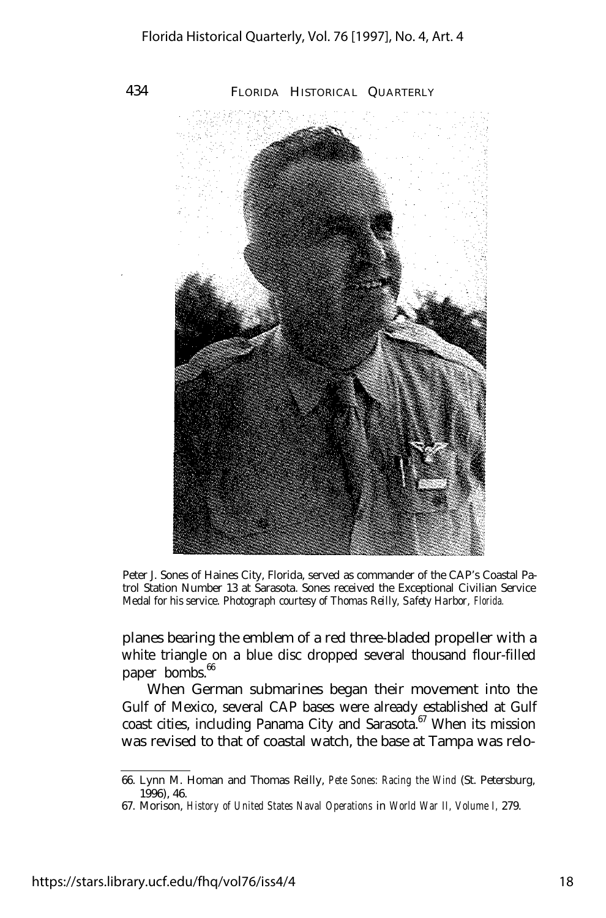

Peter J. Sones of Haines City, Florida, served as commander of the CAP's Coastal Patrol Station Number 13 at Sarasota. Sones received the Exceptional Civilian Service Medal for his service. *Photograph courtesy of Thomas Reilly, Safety Harbor, Florida.*

planes bearing the emblem of a red three-bladed propeller with a white triangle on a blue disc dropped several thousand flour-filled paper bombs. $66$ 

When German submarines began their movement into the Gulf of Mexico, several CAP bases were already established at Gulf coast cities, including Panama City and Sarasota. $67$  When its mission was revised to that of coastal watch, the base at Tampa was relo-

<sup>66.</sup> Lynn M. Homan and Thomas Reilly, *Pete Sones: Racing the Wind* (St. Petersburg, 1996), 46.

<sup>67.</sup> Morison, *History of United States Naval Operations* in *World War II, Volume I,* 279.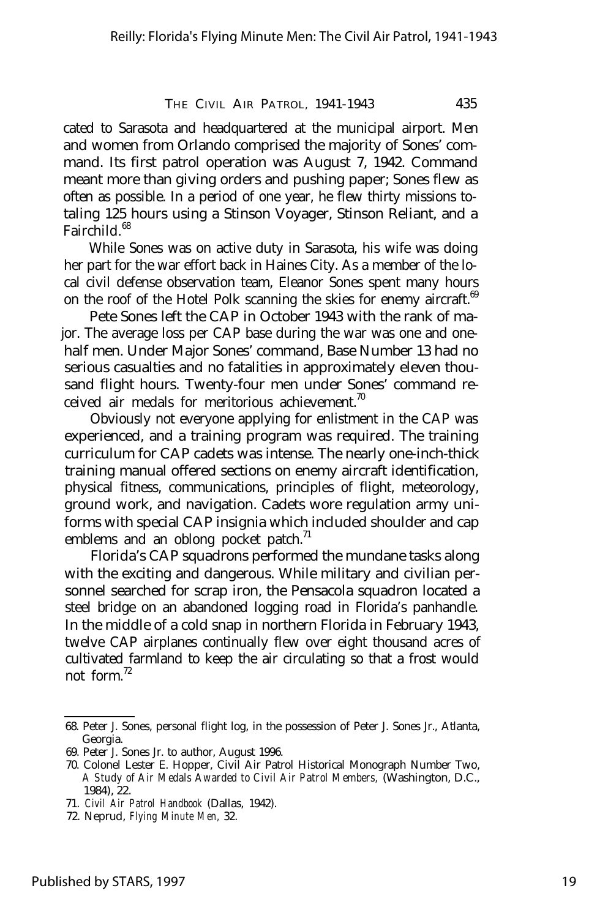cated to Sarasota and headquartered at the municipal airport. Men and women from Orlando comprised the majority of Sones' command. Its first patrol operation was August 7, 1942. Command meant more than giving orders and pushing paper; Sones flew as often as possible. In a period of one year, he flew thirty missions totaling 125 hours using a Stinson Voyager, Stinson Reliant, and a  $Fairchild.$ <sup>68</sup>

While Sones was on active duty in Sarasota, his wife was doing her part for the war effort back in Haines City. As a member of the local civil defense observation team, Eleanor Sones spent many hours on the roof of the Hotel Polk scanning the skies for enemy aircraft.<sup>69</sup>

Pete Sones left the CAP in October 1943 with the rank of major. The average loss per CAP base during the war was one and onehalf men. Under Major Sones' command, Base Number 13 had no serious casualties and no fatalities in approximately eleven thousand flight hours. Twenty-four men under Sones' command received air medals for meritorious achievement.<sup>70</sup>

Obviously not everyone applying for enlistment in the CAP was experienced, and a training program was required. The training curriculum for CAP cadets was intense. The nearly one-inch-thick training manual offered sections on enemy aircraft identification, physical fitness, communications, principles of flight, meteorology, ground work, and navigation. Cadets wore regulation army uniforms with special CAP insignia which included shoulder and cap emblems and an oblong pocket patch. $1$ 

Florida's CAP squadrons performed the mundane tasks along with the exciting and dangerous. While military and civilian personnel searched for scrap iron, the Pensacola squadron located a steel bridge on an abandoned logging road in Florida's panhandle. In the middle of a cold snap in northern Florida in February 1943, twelve CAP airplanes continually flew over eight thousand acres of cultivated farmland to keep the air circulating so that a frost would not form.<sup>72</sup>

<sup>68.</sup> Peter J. Sones, personal flight log, in the possession of Peter J. Sones Jr., Atlanta, Georgia.

<sup>69.</sup> Peter J. Sones Jr. to author, August 1996.

<sup>70.</sup> Colonel Lester E. Hopper, Civil Air Patrol Historical Monograph Number Two, *A Study of Air Medals Awarded to Civil Air Patrol Members,* (Washington, D.C., 1984), 22.

<sup>71.</sup> *Civil Air Patrol Handbook* (Dallas, 1942).

<sup>72.</sup> Neprud, *Flying Minute Men,* 32.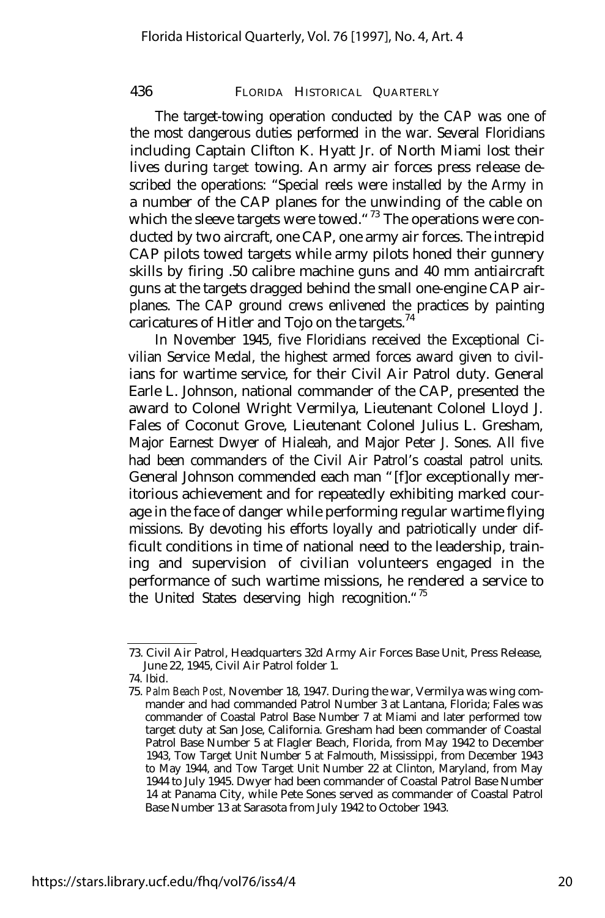The target-towing operation conducted by the CAP was one of the most dangerous duties performed in the war. Several Floridians including Captain Clifton K. Hyatt Jr. of North Miami lost their lives during target towing. An army air forces press release described the operations: "Special reels were installed by the Army in a number of the CAP planes for the unwinding of the cable on which the sleeve targets were towed.<sup>"73</sup> The operations were conducted by two aircraft, one CAP, one army air forces. The intrepid CAP pilots towed targets while army pilots honed their gunnery skills by firing .50 calibre machine guns and 40 mm antiaircraft guns at the targets dragged behind the small one-engine CAP airplanes. The CAP ground crews enlivened the practices by painting caricatures of Hitler and Tojo on the targets.<sup>74</sup>

In November 1945, five Floridians received the Exceptional Civilian Service Medal, the highest armed forces award given to civilians for wartime service, for their Civil Air Patrol duty. General Earle L. Johnson, national commander of the CAP, presented the award to Colonel Wright Vermilya, Lieutenant Colonel Lloyd J. Fales of Coconut Grove, Lieutenant Colonel Julius L. Gresham, Major Earnest Dwyer of Hialeah, and Major Peter J. Sones. All five had been commanders of the Civil Air Patrol's coastal patrol units. General Johnson commended each man "[f]or exceptionally meritorious achievement and for repeatedly exhibiting marked courage in the face of danger while performing regular wartime flying missions. By devoting his efforts loyally and patriotically under difficult conditions in time of national need to the leadership, training and supervision of civilian volunteers engaged in the performance of such wartime missions, he rendered a service to the United States deserving high recognition."<sup>75</sup>

<sup>73.</sup> Civil Air Patrol, Headquarters 32d Army Air Forces Base Unit, Press Release, June 22, 1945, Civil Air Patrol folder 1.

<sup>74.</sup> Ibid.

<sup>75.</sup> *Palm Beach Post,* November 18, 1947. During the war, Vermilya was wing commander and had commanded Patrol Number 3 at Lantana, Florida; Fales was commander of Coastal Patrol Base Number 7 at Miami and later performed tow target duty at San Jose, California. Gresham had been commander of Coastal Patrol Base Number 5 at Flagler Beach, Florida, from May 1942 to December 1943, Tow Target Unit Number 5 at Falmouth, Mississippi, from December 1943 to May 1944, and Tow Target Unit Number 22 at Clinton, Maryland, from May 1944 to July 1945. Dwyer had been commander of Coastal Patrol Base Number 14 at Panama City, while Pete Sones served as commander of Coastal Patrol Base Number 13 at Sarasota from July 1942 to October 1943.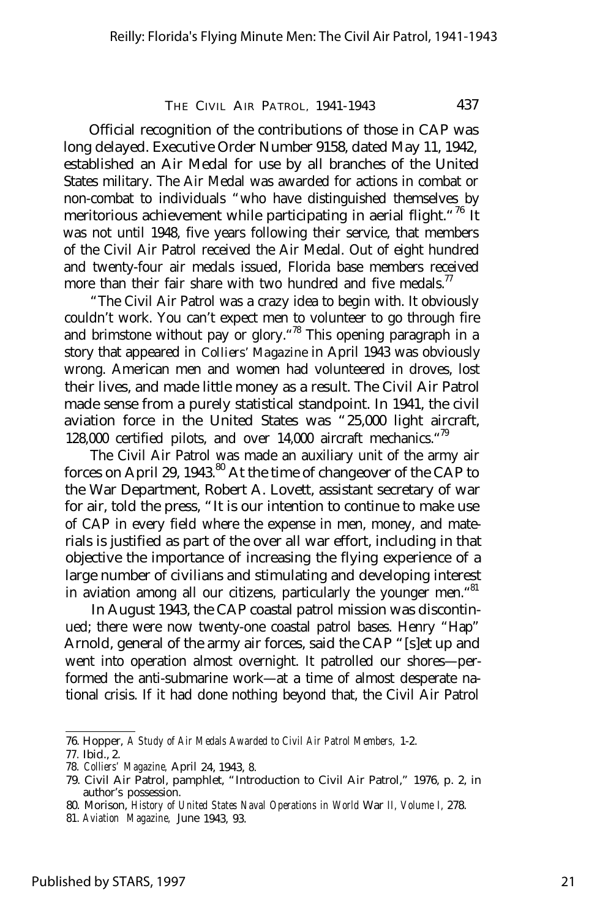Official recognition of the contributions of those in CAP was long delayed. Executive Order Number 9158, dated May 11, 1942, established an Air Medal for use by all branches of the United States military. The Air Medal was awarded for actions in combat or non-combat to individuals "who have distinguished themselves by meritorious achievement while participating in aerial flight. <sup>"76</sup> It was not until 1948, five years following their service, that members of the Civil Air Patrol received the Air Medal. Out of eight hundred and twenty-four air medals issued, Florida base members received more than their fair share with two hundred and five medals.<sup>77</sup>

"The Civil Air Patrol was a crazy idea to begin with. It obviously couldn't work. You can't expect men to volunteer to go through fire and brimstone without pay or glory. <sup>78</sup> This opening paragraph in a story that appeared in *Colliers' Magazine* in April 1943 was obviously wrong. American men and women had volunteered in droves, lost their lives, and made little money as a result. The Civil Air Patrol made sense from a purely statistical standpoint. In 1941, the civil aviation force in the United States was "25,000 light aircraft, 128,000 certified pilots, and over 14,000 aircraft mechanics. "<sup>79</sup>

The Civil Air Patrol was made an auxiliary unit of the army air forces on April 29, 1943.<sup>80</sup> At the time of changeover of the CAP to the War Department, Robert A. Lovett, assistant secretary of war for air, told the press, "It is our intention to continue to make use of CAP in every field where the expense in men, money, and materials is justified as part of the over all war effort, including in that objective the importance of increasing the flying experience of a large number of civilians and stimulating and developing interest in aviation among all our citizens, particularly the younger men.<sup>481</sup>

In August 1943, the CAP coastal patrol mission was discontinued; there were now twenty-one coastal patrol bases. Henry "Hap" Arnold, general of the army air forces, said the CAP "[s]et up and went into operation almost overnight. It patrolled our shores— performed the anti-submarine work— at a time of almost desperate national crisis. If it had done nothing beyond that, the Civil Air Patrol

<sup>76.</sup> Hopper, *A Study of Air Medals Awarded to Civil Air Patrol Members,* 1-2.

<sup>77.</sup> Ibid., 2.

<sup>78.</sup> *Colliers' Magazine,* April 24, 1943, 8.

<sup>79.</sup> Civil Air Patrol, pamphlet, "Introduction to Civil Air Patrol," 1976, p. 2, in author's possession.

<sup>80.</sup> Morison, *History of United States Naval Operations in World* War *II, Volume I,* 278.

<sup>81.</sup> *Aviation Magazine,* June 1943, 93.